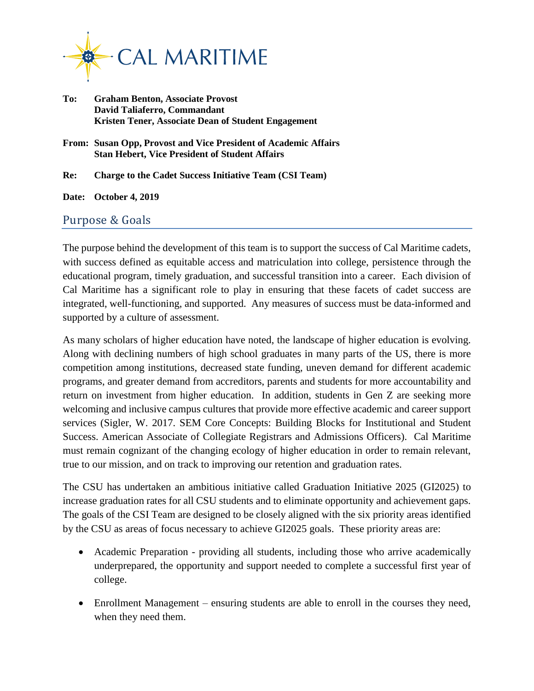

- **To: Graham Benton, Associate Provost David Taliaferro, Commandant Kristen Tener, Associate Dean of Student Engagement**
- **From: Susan Opp, Provost and Vice President of Academic Affairs Stan Hebert, Vice President of Student Affairs**

**Re: Charge to the Cadet Success Initiative Team (CSI Team)**

**Date: October 4, 2019**

## Purpose & Goals

The purpose behind the development of this team is to support the success of Cal Maritime cadets, with success defined as equitable access and matriculation into college, persistence through the educational program, timely graduation, and successful transition into a career. Each division of Cal Maritime has a significant role to play in ensuring that these facets of cadet success are integrated, well-functioning, and supported. Any measures of success must be data-informed and supported by a culture of assessment.

As many scholars of higher education have noted, the landscape of higher education is evolving. Along with declining numbers of high school graduates in many parts of the US, there is more competition among institutions, decreased state funding, uneven demand for different academic programs, and greater demand from accreditors, parents and students for more accountability and return on investment from higher education. In addition, students in Gen Z are seeking more welcoming and inclusive campus cultures that provide more effective academic and career support services (Sigler, W. 2017. SEM Core Concepts: Building Blocks for Institutional and Student Success. American Associate of Collegiate Registrars and Admissions Officers). Cal Maritime must remain cognizant of the changing ecology of higher education in order to remain relevant, true to our mission, and on track to improving our retention and graduation rates.

The CSU has undertaken an ambitious initiative called Graduation Initiative 2025 (GI2025) to increase graduation rates for all CSU students and to eliminate opportunity and achievement gaps. The goals of the CSI Team are designed to be closely aligned with the six priority areas identified by the CSU as areas of focus necessary to achieve GI2025 goals. These priority areas are:

- Academic Preparation providing all students, including those who arrive academically underprepared, the opportunity and support needed to complete a successful first year of college.
- Enrollment Management ensuring students are able to enroll in the courses they need, when they need them.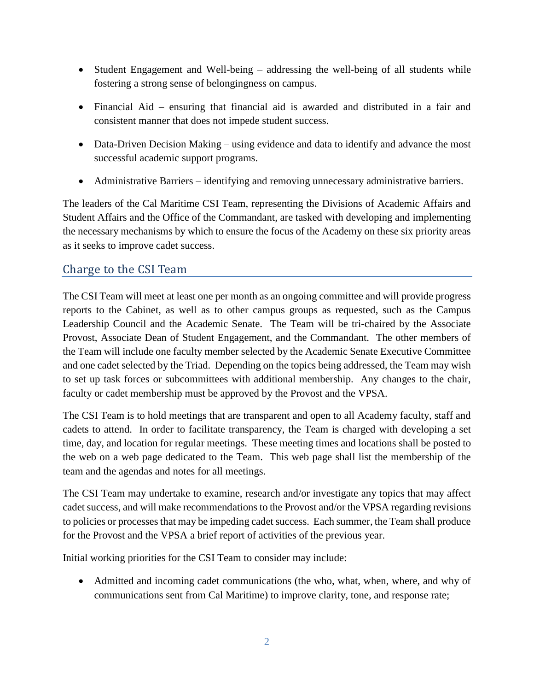- Student Engagement and Well-being addressing the well-being of all students while fostering a strong sense of belongingness on campus.
- Financial Aid ensuring that financial aid is awarded and distributed in a fair and consistent manner that does not impede student success.
- Data-Driven Decision Making using evidence and data to identify and advance the most successful academic support programs.
- Administrative Barriers identifying and removing unnecessary administrative barriers.

The leaders of the Cal Maritime CSI Team, representing the Divisions of Academic Affairs and Student Affairs and the Office of the Commandant, are tasked with developing and implementing the necessary mechanisms by which to ensure the focus of the Academy on these six priority areas as it seeks to improve cadet success.

## Charge to the CSI Team

The CSI Team will meet at least one per month as an ongoing committee and will provide progress reports to the Cabinet, as well as to other campus groups as requested, such as the Campus Leadership Council and the Academic Senate. The Team will be tri-chaired by the Associate Provost, Associate Dean of Student Engagement, and the Commandant. The other members of the Team will include one faculty member selected by the Academic Senate Executive Committee and one cadet selected by the Triad. Depending on the topics being addressed, the Team may wish to set up task forces or subcommittees with additional membership. Any changes to the chair, faculty or cadet membership must be approved by the Provost and the VPSA.

The CSI Team is to hold meetings that are transparent and open to all Academy faculty, staff and cadets to attend. In order to facilitate transparency, the Team is charged with developing a set time, day, and location for regular meetings. These meeting times and locations shall be posted to the web on a web page dedicated to the Team. This web page shall list the membership of the team and the agendas and notes for all meetings.

The CSI Team may undertake to examine, research and/or investigate any topics that may affect cadet success, and will make recommendations to the Provost and/or the VPSA regarding revisions to policies or processesthat may be impeding cadet success. Each summer, the Team shall produce for the Provost and the VPSA a brief report of activities of the previous year.

Initial working priorities for the CSI Team to consider may include:

 Admitted and incoming cadet communications (the who, what, when, where, and why of communications sent from Cal Maritime) to improve clarity, tone, and response rate;